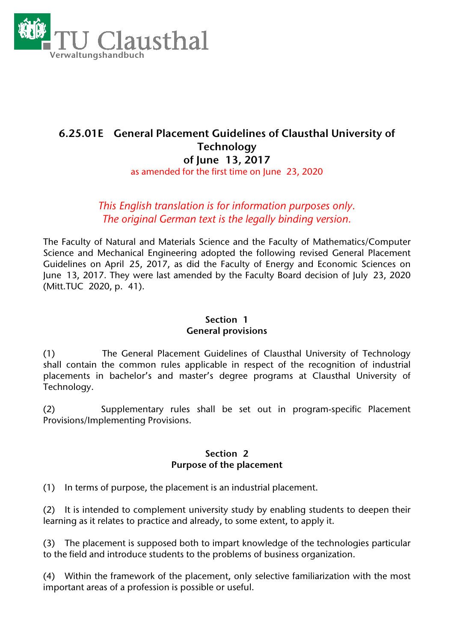

# **6.25.01E General Placement Guidelines of Clausthal University of Technology of June 13, 2017** as amended for the first time on June 23, 2020

# *This English translation is for information purposes only. The original German text is the legally binding version.*

The Faculty of Natural and Materials Science and the Faculty of Mathematics/Computer Science and Mechanical Engineering adopted the following revised General Placement Guidelines on April 25, 2017, as did the Faculty of Energy and Economic Sciences on June 13, 2017. They were last amended by the Faculty Board decision of July 23, 2020 (Mitt.TUC 2020, p. 41).

## **Section 1 General provisions**

(1) The General Placement Guidelines of Clausthal University of Technology shall contain the common rules applicable in respect of the recognition of industrial placements in bachelor's and master's degree programs at Clausthal University of Technology.

(2) Supplementary rules shall be set out in program-specific Placement Provisions/Implementing Provisions.

#### **Section 2 Purpose of the placement**

(1) In terms of purpose, the placement is an industrial placement.

(2) It is intended to complement university study by enabling students to deepen their learning as it relates to practice and already, to some extent, to apply it.

(3) The placement is supposed both to impart knowledge of the technologies particular to the field and introduce students to the problems of business organization.

(4) Within the framework of the placement, only selective familiarization with the most important areas of a profession is possible or useful.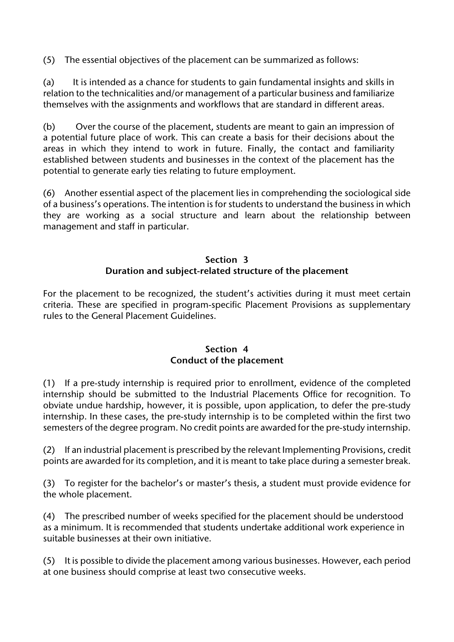(5) The essential objectives of the placement can be summarized as follows:

(a) It is intended as a chance for students to gain fundamental insights and skills in relation to the technicalities and/or management of a particular business and familiarize themselves with the assignments and workflows that are standard in different areas.

(b) Over the course of the placement, students are meant to gain an impression of a potential future place of work. This can create a basis for their decisions about the areas in which they intend to work in future. Finally, the contact and familiarity established between students and businesses in the context of the placement has the potential to generate early ties relating to future employment.

(6) Another essential aspect of the placement lies in comprehending the sociological side of a business's operations. The intention is for students to understand the business in which they are working as a social structure and learn about the relationship between management and staff in particular.

#### **Section 3 Duration and subject-related structure of the placement**

For the placement to be recognized, the student's activities during it must meet certain criteria. These are specified in program-specific Placement Provisions as supplementary rules to the General Placement Guidelines.

## **Section 4 Conduct of the placement**

(1) If a pre-study internship is required prior to enrollment, evidence of the completed internship should be submitted to the Industrial Placements Office for recognition. To obviate undue hardship, however, it is possible, upon application, to defer the pre-study internship. In these cases, the pre-study internship is to be completed within the first two semesters of the degree program. No credit points are awarded for the pre-study internship.

(2) If an industrial placement is prescribed by the relevant Implementing Provisions, credit points are awarded for its completion, and it is meant to take place during a semester break.

(3) To register for the bachelor's or master's thesis, a student must provide evidence for the whole placement.

(4) The prescribed number of weeks specified for the placement should be understood as a minimum. It is recommended that students undertake additional work experience in suitable businesses at their own initiative.

(5) It is possible to divide the placement among various businesses. However, each period at one business should comprise at least two consecutive weeks.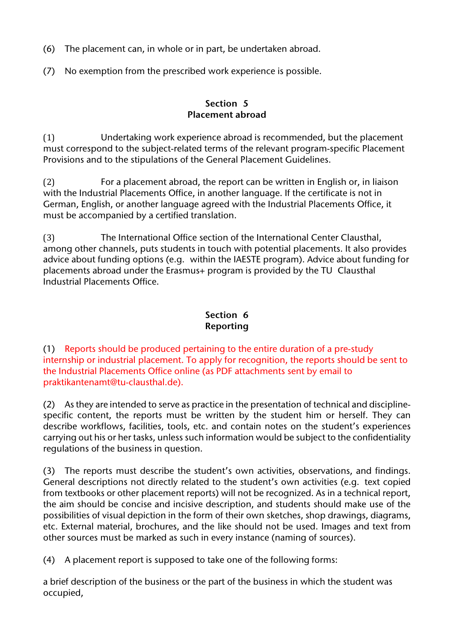- (6) The placement can, in whole or in part, be undertaken abroad.
- (7) No exemption from the prescribed work experience is possible.

#### **Section 5 Placement abroad**

(1) Undertaking work experience abroad is recommended, but the placement must correspond to the subject-related terms of the relevant program-specific Placement Provisions and to the stipulations of the General Placement Guidelines.

(2) For a placement abroad, the report can be written in English or, in liaison with the Industrial Placements Office, in another language. If the certificate is not in German, English, or another language agreed with the Industrial Placements Office, it must be accompanied by a certified translation.

(3) The International Office section of the International Center Clausthal, among other channels, puts students in touch with potential placements. It also provides advice about funding options (e.g. within the IAESTE program). Advice about funding for placements abroad under the Erasmus+ program is provided by the TU Clausthal Industrial Placements Office.

### **Section 6 Reporting**

(1) Reports should be produced pertaining to the entire duration of a pre-study internship or industrial placement. To apply for recognition, the reports should be sent to the Industrial Placements Office online (as PDF attachments sent by email to praktikantenamt@tu-clausthal.de).

(2) As they are intended to serve as practice in the presentation of technical and disciplinespecific content, the reports must be written by the student him or herself. They can describe workflows, facilities, tools, etc. and contain notes on the student's experiences carrying out his or her tasks, unless such information would be subject to the confidentiality regulations of the business in question.

(3) The reports must describe the student's own activities, observations, and findings. General descriptions not directly related to the student's own activities (e.g. text copied from textbooks or other placement reports) will not be recognized. As in a technical report, the aim should be concise and incisive description, and students should make use of the possibilities of visual depiction in the form of their own sketches, shop drawings, diagrams, etc. External material, brochures, and the like should not be used. Images and text from other sources must be marked as such in every instance (naming of sources).

(4) A placement report is supposed to take one of the following forms:

a brief description of the business or the part of the business in which the student was occupied,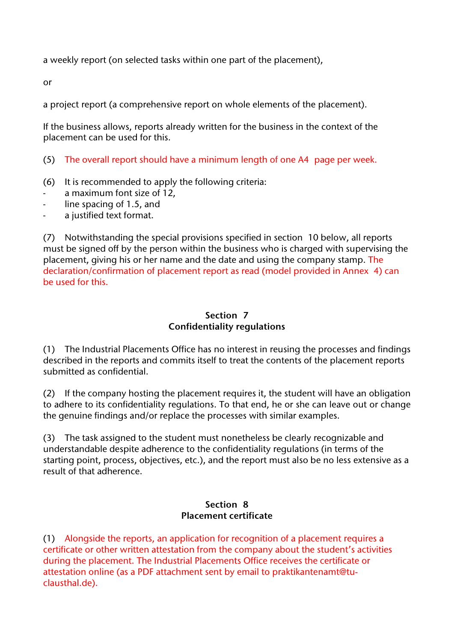a weekly report (on selected tasks within one part of the placement),

or

a project report (a comprehensive report on whole elements of the placement).

If the business allows, reports already written for the business in the context of the placement can be used for this.

- (5) The overall report should have a minimum length of one A4 page per week.
- (6) It is recommended to apply the following criteria:
- a maximum font size of 12,
- line spacing of 1.5, and
- a justified text format.

(7) Notwithstanding the special provisions specified in section 10 below, all reports must be signed off by the person within the business who is charged with supervising the placement, giving his or her name and the date and using the company stamp. The declaration/confirmation of placement report as read (model provided in Annex 4) can be used for this.

### **Section 7 Confidentiality regulations**

(1) The Industrial Placements Office has no interest in reusing the processes and findings described in the reports and commits itself to treat the contents of the placement reports submitted as confidential.

(2) If the company hosting the placement requires it, the student will have an obligation to adhere to its confidentiality regulations. To that end, he or she can leave out or change the genuine findings and/or replace the processes with similar examples.

(3) The task assigned to the student must nonetheless be clearly recognizable and understandable despite adherence to the confidentiality regulations (in terms of the starting point, process, objectives, etc.), and the report must also be no less extensive as a result of that adherence.

#### **Section 8 Placement certificate**

(1) Alongside the reports, an application for recognition of a placement requires a certificate or other written attestation from the company about the student's activities during the placement. The Industrial Placements Office receives the certificate or attestation online (as a PDF attachment sent by email to praktikantenamt@tuclausthal.de).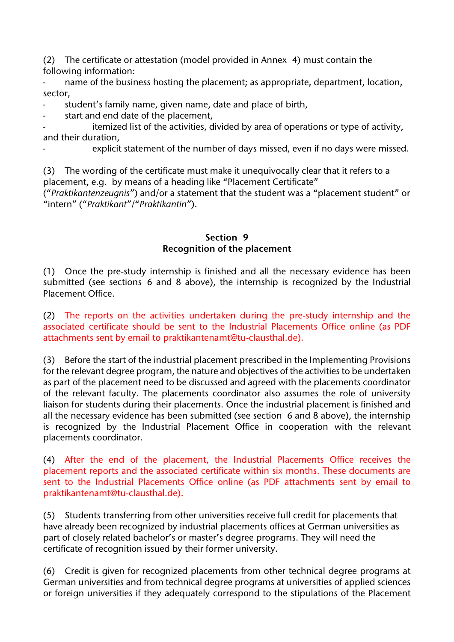(2) The certificate or attestation (model provided in Annex 4) must contain the following information:

- name of the business hosting the placement; as appropriate, department, location, sector,

student's family name, given name, date and place of birth,

start and end date of the placement.

itemized list of the activities, divided by area of operations or type of activity, and their duration,

explicit statement of the number of days missed, even if no days were missed.

(3) The wording of the certificate must make it unequivocally clear that it refers to a placement, e.g. by means of a heading like "Placement Certificate"

("*Praktikantenzeugnis*") and/or a statement that the student was a "placement student" or "intern" ("*Praktikant*"/"*Praktikantin*").

#### **Section 9 Recognition of the placement**

(1) Once the pre-study internship is finished and all the necessary evidence has been submitted (see sections 6 and 8 above), the internship is recognized by the Industrial Placement Office.

(2) The reports on the activities undertaken during the pre-study internship and the associated certificate should be sent to the Industrial Placements Office online (as PDF attachments sent by email to praktikantenamt@tu-clausthal.de).

(3) Before the start of the industrial placement prescribed in the Implementing Provisions for the relevant degree program, the nature and objectives of the activities to be undertaken as part of the placement need to be discussed and agreed with the placements coordinator of the relevant faculty. The placements coordinator also assumes the role of university liaison for students during their placements. Once the industrial placement is finished and all the necessary evidence has been submitted (see section 6 and 8 above), the internship is recognized by the Industrial Placement Office in cooperation with the relevant placements coordinator.

(4) After the end of the placement, the Industrial Placements Office receives the placement reports and the associated certificate within six months. These documents are sent to the Industrial Placements Office online (as PDF attachments sent by email to praktikantenamt@tu-clausthal.de).

(5) Students transferring from other universities receive full credit for placements that have already been recognized by industrial placements offices at German universities as part of closely related bachelor's or master's degree programs. They will need the certificate of recognition issued by their former university.

(6) Credit is given for recognized placements from other technical degree programs at German universities and from technical degree programs at universities of applied sciences or foreign universities if they adequately correspond to the stipulations of the Placement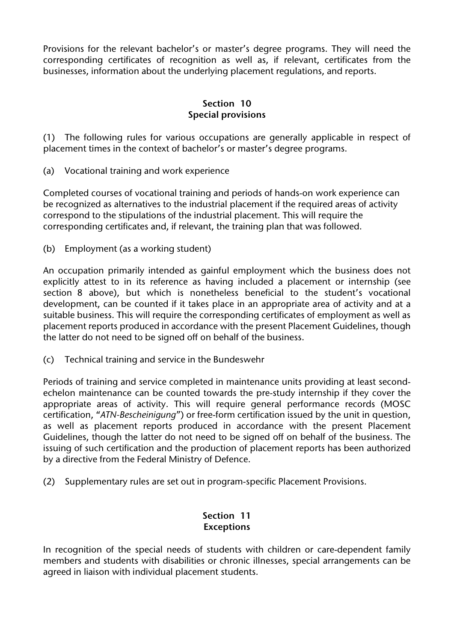Provisions for the relevant bachelor's or master's degree programs. They will need the corresponding certificates of recognition as well as, if relevant, certificates from the businesses, information about the underlying placement regulations, and reports.

### **Section 10 Special provisions**

(1) The following rules for various occupations are generally applicable in respect of placement times in the context of bachelor's or master's degree programs.

(a) Vocational training and work experience

Completed courses of vocational training and periods of hands-on work experience can be recognized as alternatives to the industrial placement if the required areas of activity correspond to the stipulations of the industrial placement. This will require the corresponding certificates and, if relevant, the training plan that was followed.

(b) Employment (as a working student)

An occupation primarily intended as gainful employment which the business does not explicitly attest to in its reference as having included a placement or internship (see section 8 above), but which is nonetheless beneficial to the student's vocational development, can be counted if it takes place in an appropriate area of activity and at a suitable business. This will require the corresponding certificates of employment as well as placement reports produced in accordance with the present Placement Guidelines, though the latter do not need to be signed off on behalf of the business.

(c) Technical training and service in the Bundeswehr

Periods of training and service completed in maintenance units providing at least secondechelon maintenance can be counted towards the pre-study internship if they cover the appropriate areas of activity. This will require general performance records (MOSC certification, "*ATN-Bescheinigung*") or free-form certification issued by the unit in question, as well as placement reports produced in accordance with the present Placement Guidelines, though the latter do not need to be signed off on behalf of the business. The issuing of such certification and the production of placement reports has been authorized by a directive from the Federal Ministry of Defence.

(2) Supplementary rules are set out in program-specific Placement Provisions.

## **Section 11 Exceptions**

In recognition of the special needs of students with children or care-dependent family members and students with disabilities or chronic illnesses, special arrangements can be agreed in liaison with individual placement students.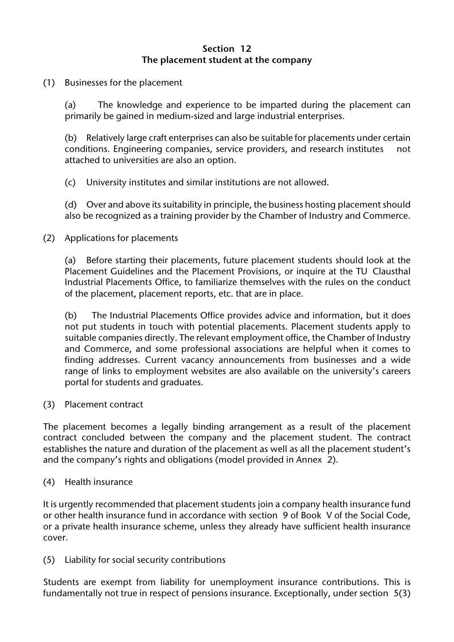#### **Section 12 The placement student at the company**

(1) Businesses for the placement

(a) The knowledge and experience to be imparted during the placement can primarily be gained in medium-sized and large industrial enterprises.

(b) Relatively large craft enterprises can also be suitable for placements under certain conditions. Engineering companies, service providers, and research institutes not attached to universities are also an option.

(c) University institutes and similar institutions are not allowed.

(d) Over and above its suitability in principle, the business hosting placement should also be recognized as a training provider by the Chamber of Industry and Commerce.

(2) Applications for placements

(a) Before starting their placements, future placement students should look at the Placement Guidelines and the Placement Provisions, or inquire at the TU Clausthal Industrial Placements Office, to familiarize themselves with the rules on the conduct of the placement, placement reports, etc. that are in place.

(b) The Industrial Placements Office provides advice and information, but it does not put students in touch with potential placements. Placement students apply to suitable companies directly. The relevant employment office, the Chamber of Industry and Commerce, and some professional associations are helpful when it comes to finding addresses. Current vacancy announcements from businesses and a wide range of links to employment websites are also available on the university's careers portal for students and graduates.

(3) Placement contract

The placement becomes a legally binding arrangement as a result of the placement contract concluded between the company and the placement student. The contract establishes the nature and duration of the placement as well as all the placement student's and the company's rights and obligations (model provided in Annex 2).

(4) Health insurance

It is urgently recommended that placement students join a company health insurance fund or other health insurance fund in accordance with section 9 of Book V of the Social Code, or a private health insurance scheme, unless they already have sufficient health insurance cover.

(5) Liability for social security contributions

Students are exempt from liability for unemployment insurance contributions. This is fundamentally not true in respect of pensions insurance. Exceptionally, under section 5(3)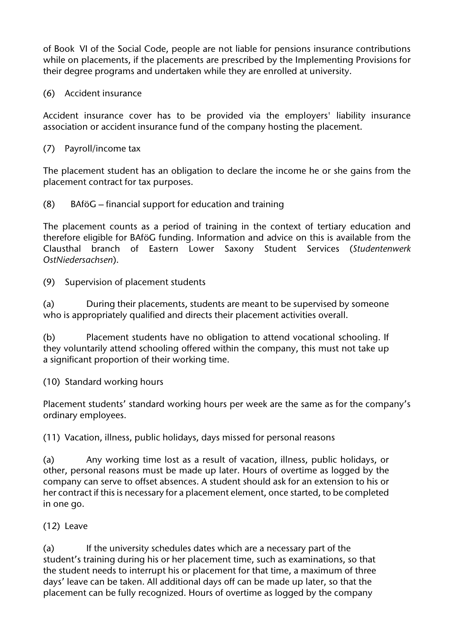of Book VI of the Social Code, people are not liable for pensions insurance contributions while on placements, if the placements are prescribed by the Implementing Provisions for their degree programs and undertaken while they are enrolled at university.

(6) Accident insurance

Accident insurance cover has to be provided via the employers' liability insurance association or accident insurance fund of the company hosting the placement.

(7) Payroll/income tax

The placement student has an obligation to declare the income he or she gains from the placement contract for tax purposes.

(8) BAföG – financial support for education and training

The placement counts as a period of training in the context of tertiary education and therefore eligible for BAföG funding. Information and advice on this is available from the Clausthal branch of Eastern Lower Saxony Student Services (*Studentenwerk OstNiedersachsen*).

(9) Supervision of placement students

(a) During their placements, students are meant to be supervised by someone who is appropriately qualified and directs their placement activities overall.

(b) Placement students have no obligation to attend vocational schooling. If they voluntarily attend schooling offered within the company, this must not take up a significant proportion of their working time.

(10) Standard working hours

Placement students' standard working hours per week are the same as for the company's ordinary employees.

(11) Vacation, illness, public holidays, days missed for personal reasons

(a) Any working time lost as a result of vacation, illness, public holidays, or other, personal reasons must be made up later. Hours of overtime as logged by the company can serve to offset absences. A student should ask for an extension to his or her contract if this is necessary for a placement element, once started, to be completed in one go.

(12) Leave

(a) If the university schedules dates which are a necessary part of the student's training during his or her placement time, such as examinations, so that the student needs to interrupt his or placement for that time, a maximum of three days' leave can be taken. All additional days off can be made up later, so that the placement can be fully recognized. Hours of overtime as logged by the company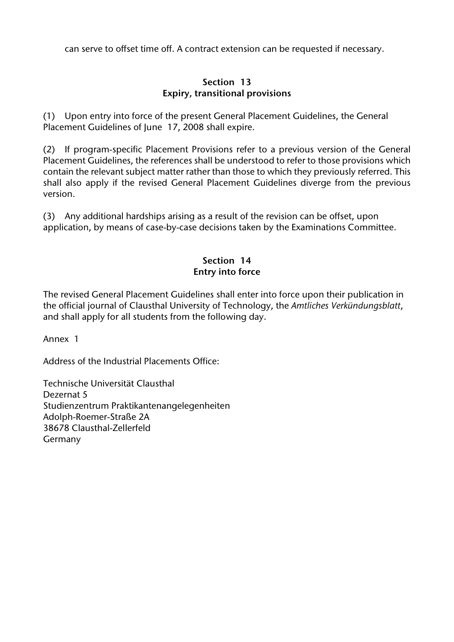can serve to offset time off. A contract extension can be requested if necessary.

#### **Section 13 Expiry, transitional provisions**

(1) Upon entry into force of the present General Placement Guidelines, the General Placement Guidelines of June 17, 2008 shall expire.

(2) If program-specific Placement Provisions refer to a previous version of the General Placement Guidelines, the references shall be understood to refer to those provisions which contain the relevant subject matter rather than those to which they previously referred. This shall also apply if the revised General Placement Guidelines diverge from the previous version.

(3) Any additional hardships arising as a result of the revision can be offset, upon application, by means of case-by-case decisions taken by the Examinations Committee.

#### **Section 14 Entry into force**

The revised General Placement Guidelines shall enter into force upon their publication in the official journal of Clausthal University of Technology, the *Amtliches Verkündungsblatt*, and shall apply for all students from the following day.

Annex 1

Address of the Industrial Placements Office:

Technische Universität Clausthal Dezernat 5 Studienzentrum Praktikantenangelegenheiten Adolph-Roemer-Straße 2A 38678 Clausthal-Zellerfeld Germany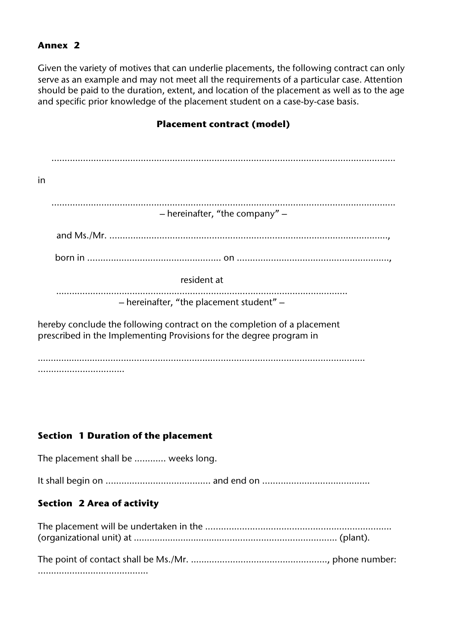#### **Annex 2**

Given the variety of motives that can underlie placements, the following contract can only serve as an example and may not meet all the requirements of a particular case. Attention should be paid to the duration, extent, and location of the placement as well as to the age and specific prior knowledge of the placement student on a case-by-case basis.

# **Placement contract (model)**

| in                                                                                                                                             |
|------------------------------------------------------------------------------------------------------------------------------------------------|
|                                                                                                                                                |
| $-$ hereinafter, "the company" $-$                                                                                                             |
|                                                                                                                                                |
|                                                                                                                                                |
| resident at                                                                                                                                    |
| - hereinafter, "the placement student" -                                                                                                       |
| hereby conclude the following contract on the completion of a placement<br>prescribed in the Implementing Provisions for the degree program in |
|                                                                                                                                                |

## **Section 1 Duration of the placement**

The placement shall be ............ weeks long. It shall begin on ........................................ and end on .........................................

## **Section 2 Area of activity**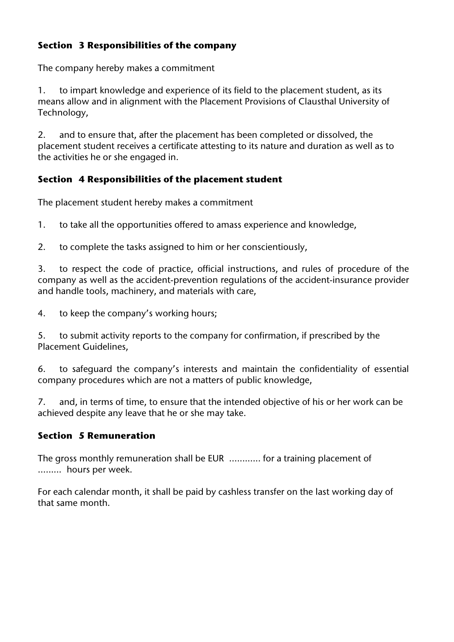# **Section 3 Responsibilities of the company**

The company hereby makes a commitment

1. to impart knowledge and experience of its field to the placement student, as its means allow and in alignment with the Placement Provisions of Clausthal University of Technology,

2. and to ensure that, after the placement has been completed or dissolved, the placement student receives a certificate attesting to its nature and duration as well as to the activities he or she engaged in.

# **Section 4 Responsibilities of the placement student**

The placement student hereby makes a commitment

1. to take all the opportunities offered to amass experience and knowledge,

2. to complete the tasks assigned to him or her conscientiously,

3. to respect the code of practice, official instructions, and rules of procedure of the company as well as the accident-prevention regulations of the accident-insurance provider and handle tools, machinery, and materials with care,

4. to keep the company's working hours;

5. to submit activity reports to the company for confirmation, if prescribed by the Placement Guidelines,

6. to safeguard the company's interests and maintain the confidentiality of essential company procedures which are not a matters of public knowledge,

7. and, in terms of time, to ensure that the intended objective of his or her work can be achieved despite any leave that he or she may take.

## **Section 5 Remuneration**

The gross monthly remuneration shall be EUR ............ for a training placement of ......... hours per week.

For each calendar month, it shall be paid by cashless transfer on the last working day of that same month.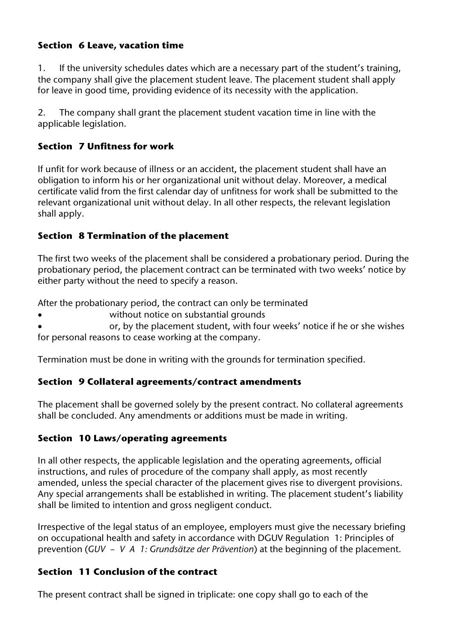# **Section 6 Leave, vacation time**

1. If the university schedules dates which are a necessary part of the student's training, the company shall give the placement student leave. The placement student shall apply for leave in good time, providing evidence of its necessity with the application.

2. The company shall grant the placement student vacation time in line with the applicable legislation.

# **Section 7 Unfitness for work**

If unfit for work because of illness or an accident, the placement student shall have an obligation to inform his or her organizational unit without delay. Moreover, a medical certificate valid from the first calendar day of unfitness for work shall be submitted to the relevant organizational unit without delay. In all other respects, the relevant legislation shall apply.

# **Section 8 Termination of the placement**

The first two weeks of the placement shall be considered a probationary period. During the probationary period, the placement contract can be terminated with two weeks' notice by either party without the need to specify a reason.

After the probationary period, the contract can only be terminated

without notice on substantial grounds

or, by the placement student, with four weeks' notice if he or she wishes for personal reasons to cease working at the company.

Termination must be done in writing with the grounds for termination specified.

# **Section 9 Collateral agreements/contract amendments**

The placement shall be governed solely by the present contract. No collateral agreements shall be concluded. Any amendments or additions must be made in writing.

# **Section 10 Laws/operating agreements**

In all other respects, the applicable legislation and the operating agreements, official instructions, and rules of procedure of the company shall apply, as most recently amended, unless the special character of the placement gives rise to divergent provisions. Any special arrangements shall be established in writing. The placement student's liability shall be limited to intention and gross negligent conduct.

Irrespective of the legal status of an employee, employers must give the necessary briefing on occupational health and safety in accordance with DGUV Regulation 1: Principles of prevention (*GUV – V A 1: Grundsätze der Prävention*) at the beginning of the placement.

# **Section 11 Conclusion of the contract**

The present contract shall be signed in triplicate: one copy shall go to each of the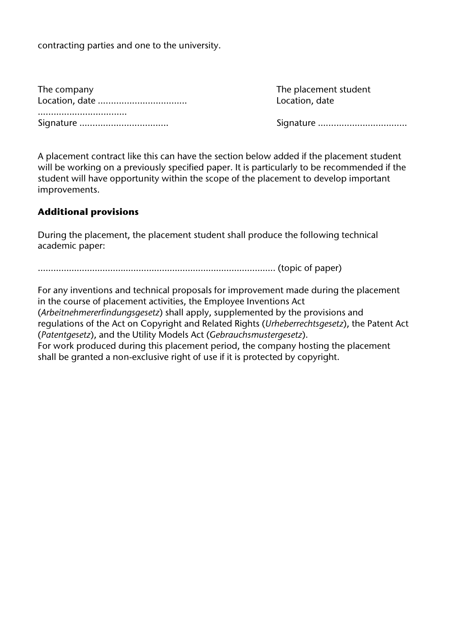contracting parties and one to the university.

| The company |
|-------------|
|             |
|             |
|             |

The placement student Location, date

Signature ………………………………

A placement contract like this can have the section below added if the placement student will be working on a previously specified paper. It is particularly to be recommended if the student will have opportunity within the scope of the placement to develop important improvements.

## **Additional provisions**

During the placement, the placement student shall produce the following technical academic paper:

……………………………………………………………………………….. (topic of paper)

For any inventions and technical proposals for improvement made during the placement in the course of placement activities, the Employee Inventions Act (*Arbeitnehmererfindungsgesetz*) shall apply, supplemented by the provisions and regulations of the Act on Copyright and Related Rights (*Urheberrechtsgesetz*), the Patent Act (*Patentgesetz*), and the Utility Models Act (*Gebrauchsmustergesetz*). For work produced during this placement period, the company hosting the placement shall be granted a non-exclusive right of use if it is protected by copyright.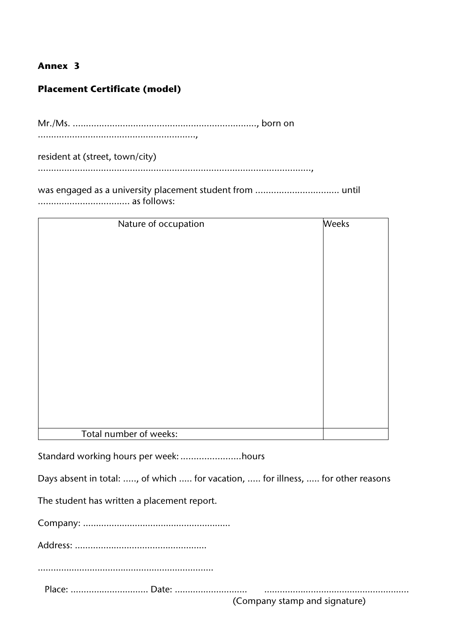#### **Annex 3**

## **Placement Certificate (model)**

Mr./Ms. ......................................................................, born on ............................................................,

resident at (street, town/city) ........................................................................................................,

was engaged as a university placement student from ................................ until ................................... as follows:

| Nature of occupation   | <b>Weeks</b> |
|------------------------|--------------|
|                        |              |
|                        |              |
|                        |              |
|                        |              |
|                        |              |
|                        |              |
|                        |              |
|                        |              |
|                        |              |
|                        |              |
|                        |              |
|                        |              |
|                        |              |
|                        |              |
|                        |              |
|                        |              |
|                        |              |
|                        |              |
|                        |              |
|                        |              |
|                        |              |
|                        |              |
|                        |              |
|                        |              |
| Total number of weeks: |              |

Standard working hours per week: .......................hours

Days absent in total: ....., of which ..... for vacation, ..... for illness, ….. for other reasons

The student has written a placement report.

Company: …………………………………………………

Address: ……………………………………………

……………………………………………………………

Place: ………………………… Date: ………………….…… ………………………………………………..

(Company stamp and signature)